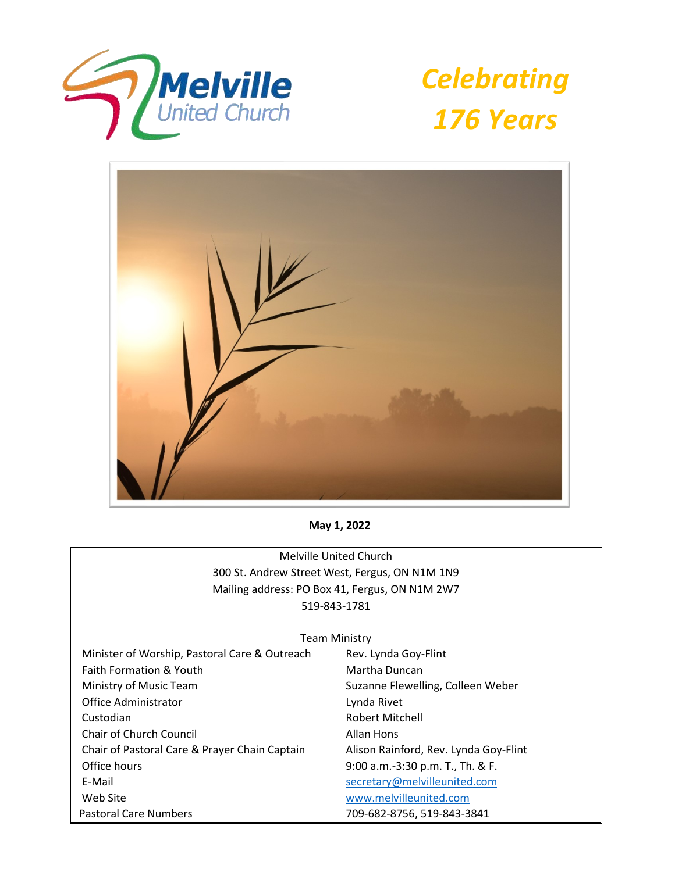





**May 1, 2022**

Melville United Church 300 St. Andrew Street West, Fergus, ON N1M 1N9 Mailing address: PO Box 41, Fergus, ON N1M 2W7 519-843-1781

#### **Team Ministry**

| Minister of Worship, Pastoral Care & Outreach | Rev. Lynda Goy-Flint                  |
|-----------------------------------------------|---------------------------------------|
| <b>Faith Formation &amp; Youth</b>            | Martha Duncan                         |
| Ministry of Music Team                        | Suzanne Flewelling, Colleen Weber     |
| Office Administrator                          | Lynda Rivet                           |
| Custodian                                     | Robert Mitchell                       |
| <b>Chair of Church Council</b>                | Allan Hons                            |
| Chair of Pastoral Care & Prayer Chain Captain | Alison Rainford, Rev. Lynda Goy-Flint |
| Office hours                                  | 9:00 a.m.-3:30 p.m. T., Th. & F.      |
| E-Mail                                        | secretary@melvilleunited.com          |
| Web Site                                      | www.melvilleunited.com                |
| <b>Pastoral Care Numbers</b>                  | 709-682-8756, 519-843-3841            |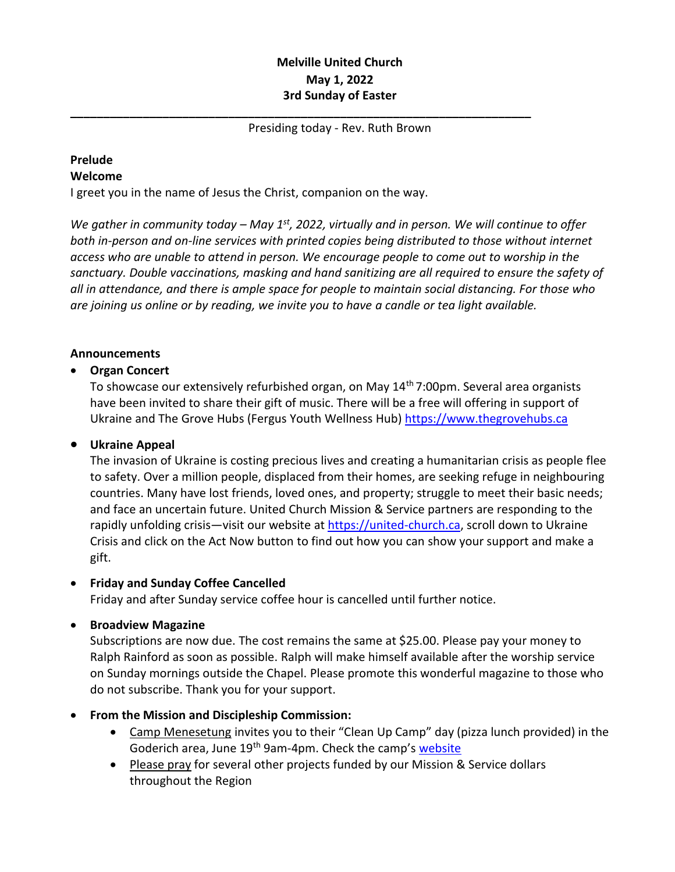# **Melville United Church May 1, 2022 3rd Sunday of Easter**

Presiding today - Rev. Ruth Brown

**\_\_\_\_\_\_\_\_\_\_\_\_\_\_\_\_\_\_\_\_\_\_\_\_\_\_\_\_\_\_\_\_\_\_\_\_\_\_\_\_\_\_\_\_\_\_\_\_\_\_\_\_\_\_\_\_\_\_\_\_\_\_\_\_\_\_\_\_\_\_**

## **Prelude**

## **Welcome**

I greet you in the name of Jesus the Christ, companion on the way.

*We gather in community today – May 1st, 2022, virtually and in person. We will continue to offer both in-person and on-line services with printed copies being distributed to those without internet access who are unable to attend in person. We encourage people to come out to worship in the sanctuary. Double vaccinations, masking and hand sanitizing are all required to ensure the safety of all in attendance, and there is ample space for people to maintain social distancing. For those who are joining us online or by reading, we invite you to have a candle or tea light available.* 

## **Announcements**

• **Organ Concert**

To showcase our extensively refurbished organ, on May 14<sup>th</sup> 7:00pm. Several area organists have been invited to share their gift of music. There will be a free will offering in support of Ukraine and The Grove Hubs (Fergus Youth Wellness Hub) [https://www.thegrovehubs.ca](https://www.thegrovehubs.ca/)

# • **Ukraine Appeal**

The invasion of Ukraine is costing precious lives and creating a humanitarian crisis as people flee to safety. Over a million people, displaced from their homes, are seeking refuge in neighbouring countries. Many have lost friends, loved ones, and property; struggle to meet their basic needs; and face an uncertain future. United Church Mission & Service partners are responding to the rapidly unfolding crisis—visit our website at [https://united-church.ca,](https://united-church.ca/) scroll down to Ukraine Crisis and click on the Act Now button to find out how you can show your support and make a gift.

## • **Friday and Sunday Coffee Cancelled**

Friday and after Sunday service coffee hour is cancelled until further notice.

## • **Broadview Magazine**

Subscriptions are now due. The cost remains the same at \$25.00. Please pay your money to Ralph Rainford as soon as possible. Ralph will make himself available after the worship service on Sunday mornings outside the Chapel. Please promote this wonderful magazine to those who do not subscribe. Thank you for your support.

## • **From the Mission and Discipleship Commission:**

- Camp Menesetung invites you to their "Clean Up Camp" day (pizza lunch provided) in the Goderich area, June 19<sup>th</sup> 9am-4pm. Check the camp's [website](https://www.campmenesetung.ca/)
- Please pray for several other projects funded by our Mission & Service dollars throughout the Region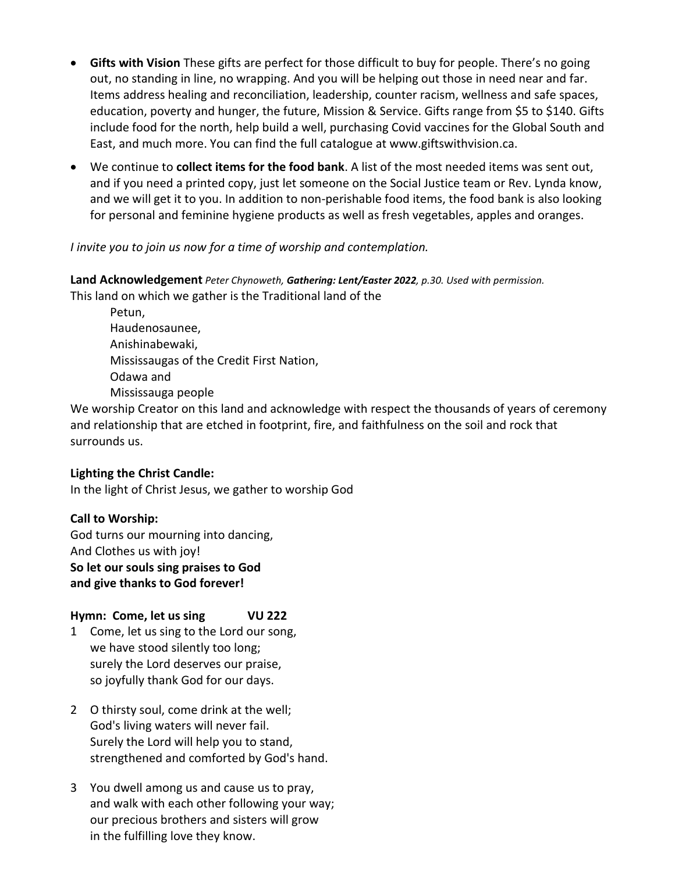- **Gifts with Vision** These gifts are perfect for those difficult to buy for people. There's no going out, no standing in line, no wrapping. And you will be helping out those in need near and far. Items address healing and reconciliation, leadership, counter racism, wellness and safe spaces, education, poverty and hunger, the future, Mission & Service. Gifts range from \$5 to \$140. Gifts include food for the north, help build a well, purchasing Covid vaccines for the Global South and East, and much more. You can find the full catalogue at www.giftswithvision.ca.
- We continue to **collect items for the food bank**. A list of the most needed items was sent out, and if you need a printed copy, just let someone on the Social Justice team or Rev. Lynda know, and we will get it to you. In addition to non-perishable food items, the food bank is also looking for personal and feminine hygiene products as well as fresh vegetables, apples and oranges.

## *I invite you to join us now for a time of worship and contemplation.*

# **Land Acknowledgement** *Peter Chynoweth, Gathering: Lent/Easter 2022, p.30. Used with permission.* This land on which we gather is the Traditional land of the

Petun, Haudenosaunee, Anishinabewaki, Mississaugas of the Credit First Nation, Odawa and Mississauga people

We worship Creator on this land and acknowledge with respect the thousands of years of ceremony and relationship that are etched in footprint, fire, and faithfulness on the soil and rock that surrounds us.

## **Lighting the Christ Candle:**

In the light of Christ Jesus, we gather to worship God

## **Call to Worship:**

God turns our mourning into dancing, And Clothes us with joy! **So let our souls sing praises to God and give thanks to God forever!**

## **Hymn: Come, let us sing VU 222**

- 1 Come, let us sing to the Lord our song, we have stood silently too long; surely the Lord deserves our praise, so joyfully thank God for our days.
- 2 O thirsty soul, come drink at the well; God's living waters will never fail. Surely the Lord will help you to stand, strengthened and comforted by God's hand.
- 3 You dwell among us and cause us to pray, and walk with each other following your way; our precious brothers and sisters will grow in the fulfilling love they know.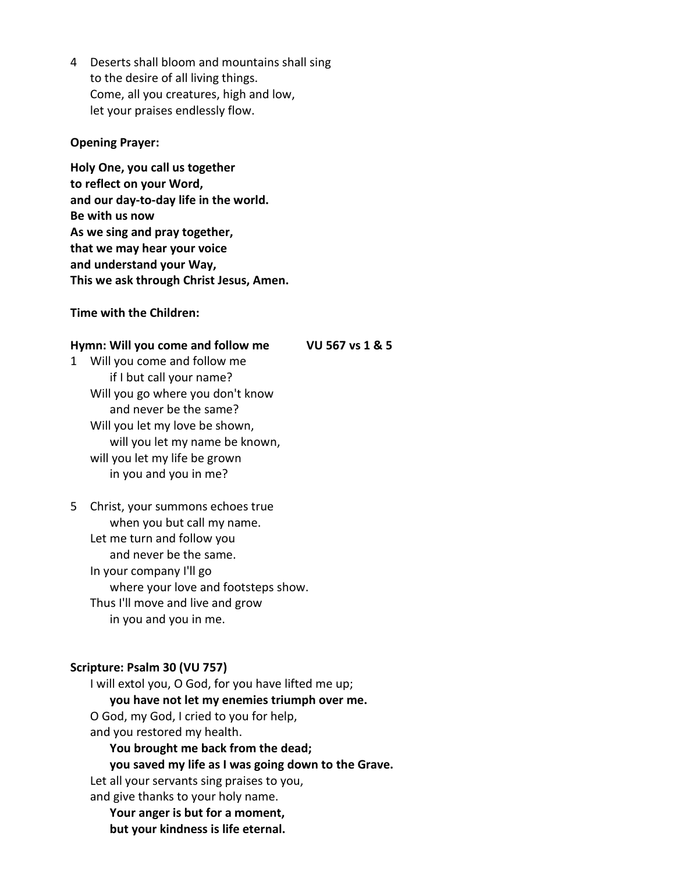4 Deserts shall bloom and mountains shall sing to the desire of all living things. Come, all you creatures, high and low, let your praises endlessly flow.

#### **Opening Prayer:**

**Holy One, you call us together to reflect on your Word, and our day-to-day life in the world. Be with us now As we sing and pray together, that we may hear your voice and understand your Way, This we ask through Christ Jesus, Amen.**

**Time with the Children:**

## **Hymn: Will you come and follow me VU 567 vs 1 & 5**

1 Will you come and follow me if I but call your name? Will you go where you don't know and never be the same? Will you let my love be shown, will you let my name be known, will you let my life be grown in you and you in me?

5 Christ, your summons echoes true when you but call my name. Let me turn and follow you and never be the same. In your company I'll go where your love and footsteps show. Thus I'll move and live and grow in you and you in me.

## **Scripture: Psalm 30 (VU 757)**

I will extol you, O God, for you have lifted me up; **you have not let my enemies triumph over me.** O God, my God, I cried to you for help, and you restored my health. **You brought me back from the dead; you saved my life as I was going down to the Grave.** Let all your servants sing praises to you, and give thanks to your holy name. **Your anger is but for a moment, but your kindness is life eternal.**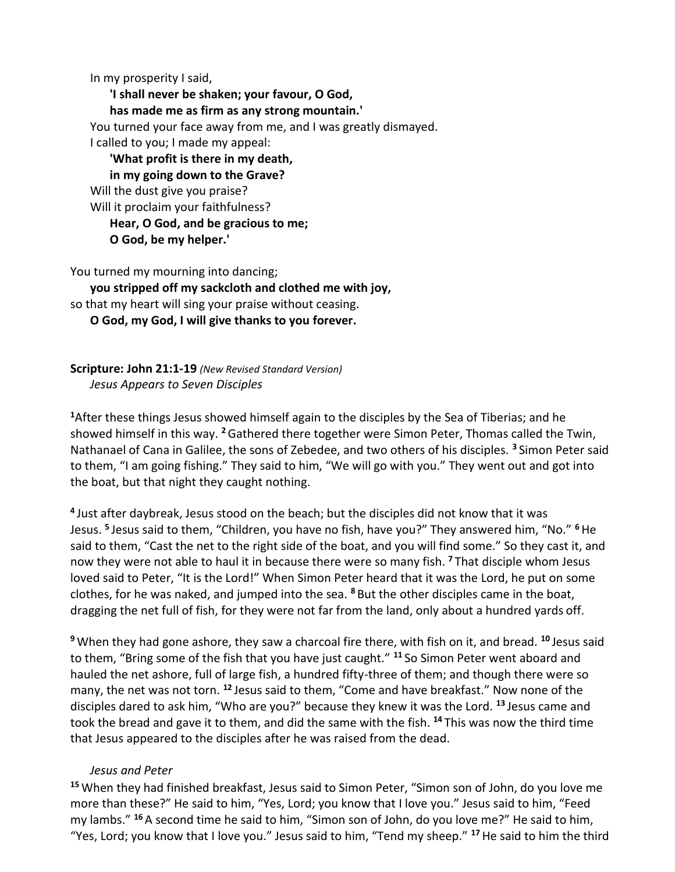In my prosperity I said, **'I shall never be shaken; your favour, O God, has made me as firm as any strong mountain.'** You turned your face away from me, and I was greatly dismayed. I called to you; I made my appeal: **'What profit is there in my death, in my going down to the Grave?** Will the dust give you praise? Will it proclaim your faithfulness? **Hear, O God, and be gracious to me; O God, be my helper.'** 

You turned my mourning into dancing; **you stripped off my sackcloth and clothed me with joy,** so that my heart will sing your praise without ceasing. **O God, my God, I will give thanks to you forever.**

**Scripture: John 21:1-19** *(New Revised Standard Version) Jesus Appears to Seven Disciples*

**<sup>1</sup>**After these things Jesus showed himself again to the disciples by the Sea of Tiberias; and he showed himself in this way. **<sup>2</sup>**Gathered there together were Simon Peter, Thomas called the Twin, Nathanael of Cana in Galilee, the sons of Zebedee, and two others of his disciples. **<sup>3</sup>** Simon Peter said to them, "I am going fishing." They said to him, "We will go with you." They went out and got into the boat, but that night they caught nothing.

**4** Just after daybreak, Jesus stood on the beach; but the disciples did not know that it was Jesus. <sup>5</sup> Jesus said to them, "Children, you have no fish, have you?" They answered him, "No." <sup>6</sup> He said to them, "Cast the net to the right side of the boat, and you will find some." So they cast it, and now they were not able to haul it in because there were so many fish. **<sup>7</sup>** That disciple whom Jesus loved said to Peter, "It is the Lord!" When Simon Peter heard that it was the Lord, he put on some clothes, for he was naked, and jumped into the sea. **<sup>8</sup>** But the other disciples came in the boat, dragging the net full of fish, for they were not far from the land, only about a hundred yards off.

**<sup>9</sup>** When they had gone ashore, they saw a charcoal fire there, with fish on it, and bread. **<sup>10</sup>** Jesus said to them, "Bring some of the fish that you have just caught." **<sup>11</sup>** So Simon Peter went aboard and hauled the net ashore, full of large fish, a hundred fifty-three of them; and though there were so many, the net was not torn. **<sup>12</sup>** Jesus said to them, "Come and have breakfast." Now none of the disciples dared to ask him, "Who are you?" because they knew it was the Lord. **<sup>13</sup>** Jesus came and took the bread and gave it to them, and did the same with the fish. **<sup>14</sup>** This was now the third time that Jesus appeared to the disciples after he was raised from the dead.

## *Jesus and Peter*

**<sup>15</sup>** When they had finished breakfast, Jesus said to Simon Peter, "Simon son of John, do you love me more than these?" He said to him, "Yes, Lord; you know that I love you." Jesus said to him, "Feed my lambs." **<sup>16</sup>** A second time he said to him, "Simon son of John, do you love me?" He said to him, "Yes, Lord; you know that I love you." Jesus said to him, "Tend my sheep." **<sup>17</sup>**He said to him the third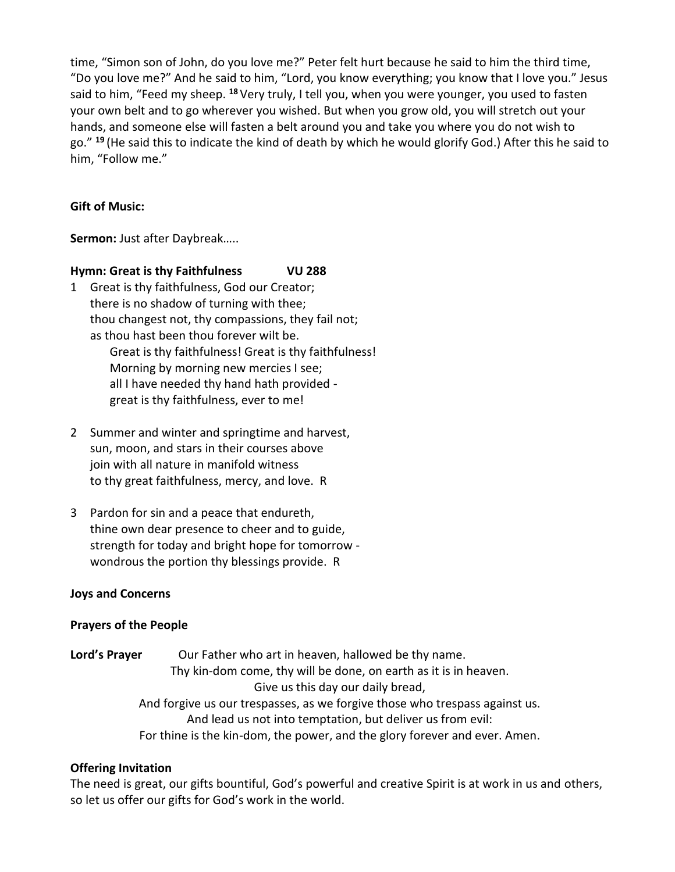time, "Simon son of John, do you love me?" Peter felt hurt because he said to him the third time, "Do you love me?" And he said to him, "Lord, you know everything; you know that I love you." Jesus said to him, "Feed my sheep. **<sup>18</sup>**Very truly, I tell you, when you were younger, you used to fasten your own belt and to go wherever you wished. But when you grow old, you will stretch out your hands, and someone else will fasten a belt around you and take you where you do not wish to go." **<sup>19</sup>** (He said this to indicate the kind of death by which he would glorify God.) After this he said to him, "Follow me."

# **Gift of Music:**

**Sermon:** Just after Daybreak…..

## **Hymn: Great is thy Faithfulness VU 288**

- 1 Great is thy faithfulness, God our Creator; there is no shadow of turning with thee; thou changest not, thy compassions, they fail not; as thou hast been thou forever wilt be. Great is thy faithfulness! Great is thy faithfulness! Morning by morning new mercies I see; all I have needed thy hand hath provided great is thy faithfulness, ever to me!
- 2 Summer and winter and springtime and harvest, sun, moon, and stars in their courses above join with all nature in manifold witness to thy great faithfulness, mercy, and love. R
- 3 Pardon for sin and a peace that endureth, thine own dear presence to cheer and to guide, strength for today and bright hope for tomorrow wondrous the portion thy blessings provide. R

## **Joys and Concerns**

#### **Prayers of the People**

Lord's Prayer **Our Father who art in heaven, hallowed be thy name.** Thy kin-dom come, thy will be done, on earth as it is in heaven. Give us this day our daily bread, And forgive us our trespasses, as we forgive those who trespass against us. And lead us not into temptation, but deliver us from evil: For thine is the kin-dom, the power, and the glory forever and ever. Amen.

## **Offering Invitation**

The need is great, our gifts bountiful, God's powerful and creative Spirit is at work in us and others, so let us offer our gifts for God's work in the world.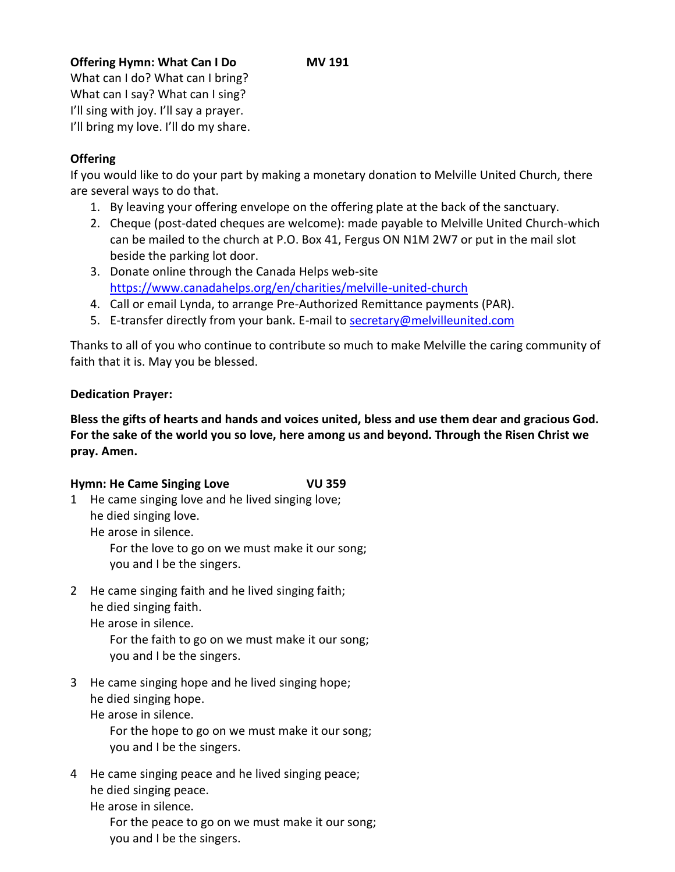**Offering Hymn: What Can I Do MV 191** What can I do? What can I bring? What can I say? What can I sing? I'll sing with joy. I'll say a prayer. I'll bring my love. I'll do my share.

# **Offering**

If you would like to do your part by making a monetary donation to Melville United Church, there are several ways to do that.

- 1. By leaving your offering envelope on the offering plate at the back of the sanctuary.
- 2. Cheque (post-dated cheques are welcome): made payable to Melville United Church-which can be mailed to the church at P.O. Box 41, Fergus ON N1M 2W7 or put in the mail slot beside the parking lot door.
- 3. Donate online through the Canada Helps web-site <https://www.canadahelps.org/en/charities/melville-united-church>
- 4. Call or email Lynda, to arrange Pre-Authorized Remittance payments (PAR).
- 5. E-transfer directly from your bank. E-mail to [secretary@melvilleunited.com](mailto:secretary@melvilleunited.com)

Thanks to all of you who continue to contribute so much to make Melville the caring community of faith that it is. May you be blessed.

# **Dedication Prayer:**

**Bless the gifts of hearts and hands and voices united, bless and use them dear and gracious God. For the sake of the world you so love, here among us and beyond. Through the Risen Christ we pray. Amen.**

# **Hymn: He Came Singing Love VU 359**

1 He came singing love and he lived singing love; he died singing love.

He arose in silence.

For the love to go on we must make it our song; you and I be the singers.

2 He came singing faith and he lived singing faith; he died singing faith.

He arose in silence.

For the faith to go on we must make it our song; you and I be the singers.

3 He came singing hope and he lived singing hope; he died singing hope.

He arose in silence.

For the hope to go on we must make it our song; you and I be the singers.

4 He came singing peace and he lived singing peace; he died singing peace.

He arose in silence.

For the peace to go on we must make it our song; you and I be the singers.